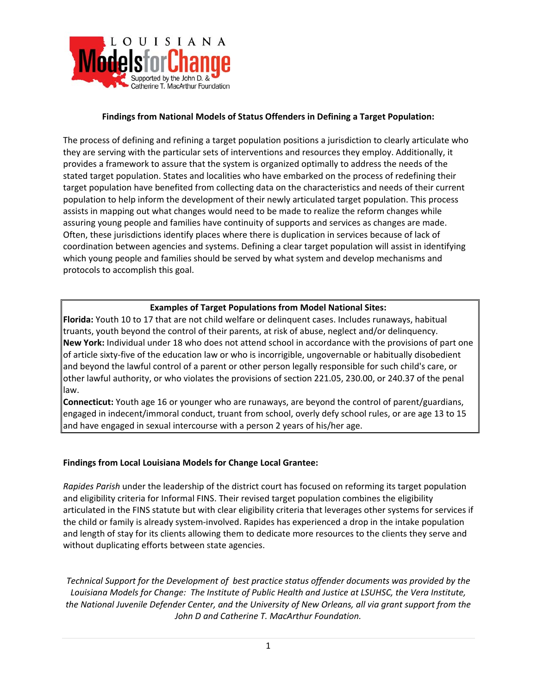

#### **Findings from National Models of Status Offenders in Defining a Target Population:**

The process of defining and refining a target population positions a jurisdiction to clearly articulate who they are serving with the particular sets of interventions and resources they employ. Additionally, it provides a framework to assure that the system is organized optimally to address the needs of the stated target population. States and localities who have embarked on the process of redefining their target population have benefited from collecting data on the characteristics and needs of their current population to help inform the development of their newly articulated target population. This process assists in mapping out what changes would need to be made to realize the reform changes while assuring young people and families have continuity of supports and services as changes are made. Often, these jurisdictions identify places where there is duplication in services because of lack of coordination between agencies and systems. Defining a clear target population will assist in identifying which young people and families should be served by what system and develop mechanisms and protocols to accomplish this goal.

#### **Examples of Target Populations from Model National Sites:**

**Florida:** Youth 10 to 17 that are not child welfare or delinquent cases. Includes runaways, habitual truants, youth beyond the control of their parents, at risk of abuse, neglect and/or delinquency. **New York:** Individual under 18 who does not attend school in accordance with the provisions of part one of article sixty‐five of the education law or who is incorrigible, ungovernable or habitually disobedient and beyond the lawful control of a parent or other person legally responsible for such child's care, or other lawful authority, or who violates the provisions of section 221.05, 230.00, or 240.37 of the penal law.

**Connecticut:** Youth age 16 or younger who are runaways, are beyond the control of parent/guardians, engaged in indecent/immoral conduct, truant from school, overly defy school rules, or are age 13 to 15 and have engaged in sexual intercourse with a person 2 years of his/her age.

#### **Findings from Local Louisiana Models for Change Local Grantee:**

*Rapides Parish* under the leadership of the district court has focused on reforming its target population and eligibility criteria for Informal FINS. Their revised target population combines the eligibility articulated in the FINS statute but with clear eligibility criteria that leverages other systems for services if the child or family is already system‐involved. Rapides has experienced a drop in the intake population and length of stay for its clients allowing them to dedicate more resources to the clients they serve and without duplicating efforts between state agencies.

*Technical Support for the Development of best practice status offender documents was provided by the Louisiana Models for Change: The Institute of Public Health and Justice at LSUHSC, the Vera Institute, the National Juvenile Defender Center, and the University of New Orleans, all via grant support from the John D and Catherine T. MacArthur Foundation.*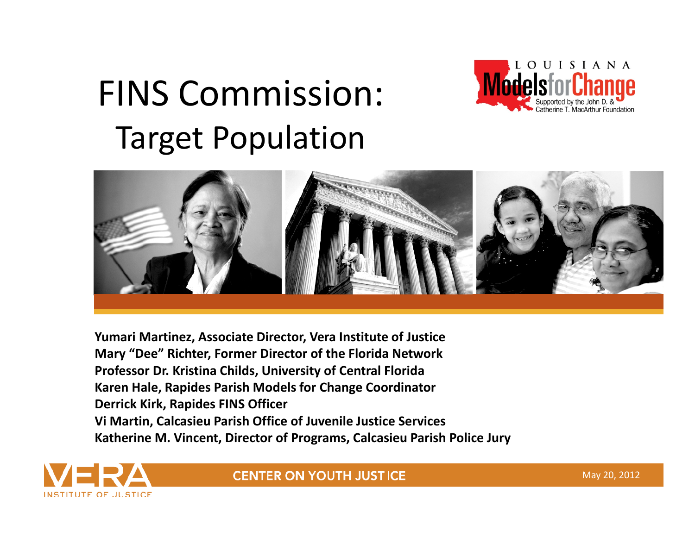# FINS Commission: Target Population





**Yumari Martinez, Associate Director, Vera Institute of Justice Mary "Dee" Richter, Former Director of the Florida Network Professor Dr. Kristina Childs, University of Central Florida Karen Hale, Rapides Parish Models for Change Coordinator Derrick Kirk, Rapides FINS Officer Vi Martin, Calcasieu Parish Office of Juvenile Justice Services Katherine M. Vincent, Director of Programs, Calcasieu Parish Police Jury**



**CENTER ON YOUTH JUSTICE** 

May 20, 2012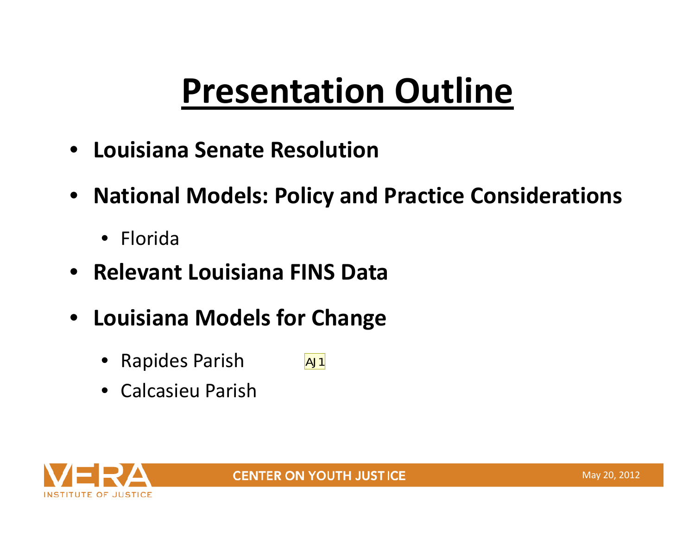# **Presentation Outline**

- **Louisiana Senate Resolution**
- **National Models: Policy and Practice Considerations**
	- Florida
- $\bullet$ **Relevant Louisiana FINS Data**
- **Louisiana Models for Change**
	- Rapides Parish  $AJ1$
	- Calcasieu Parish

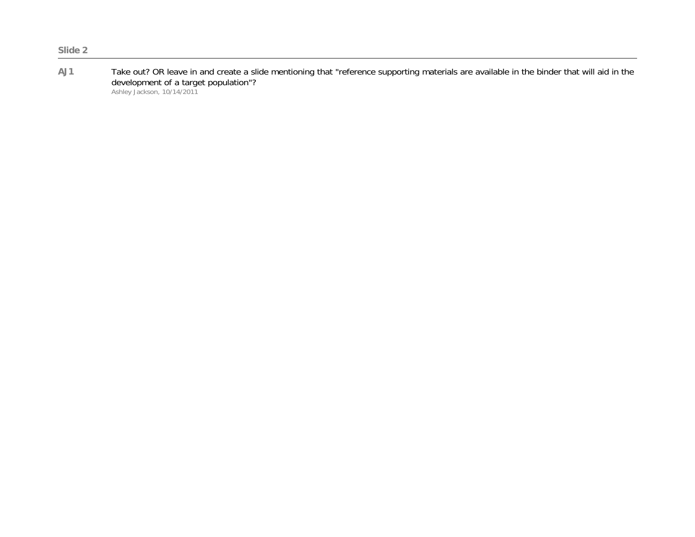**AJ1** Take out? OR leave in and create a slide mentioning that "reference supporting materials are available in the binder that will aid in the development of a target population"? Ashley Jackson, 10/14/2011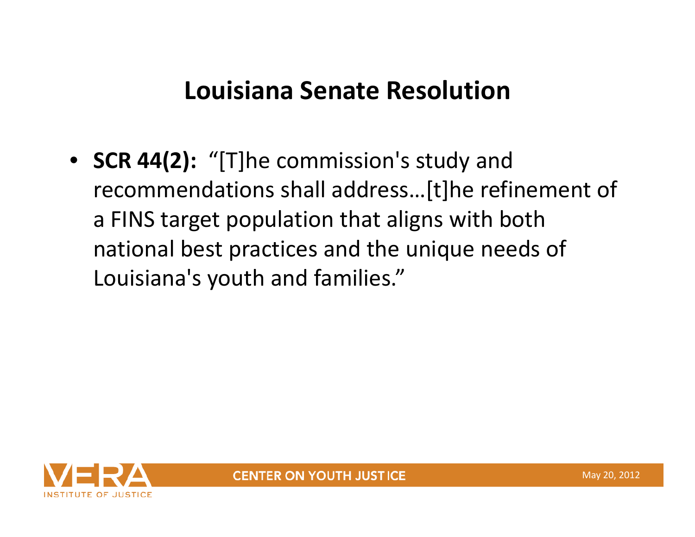### **Louisiana Senate Resolution**

• **SCR 44(2):** "[T]he commission's study and recommendations shall address…[t]he refinement of a FINS target population that aligns with both national best practices and the unique needs of Louisiana's youth and families."

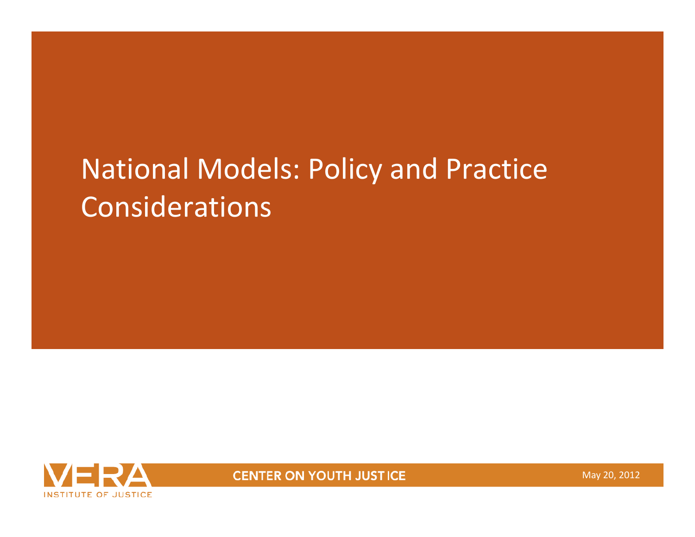# National Models: Policy and Practice Considerations



**CENTER ON YOUTH JUSTICE** 

May 20, 2012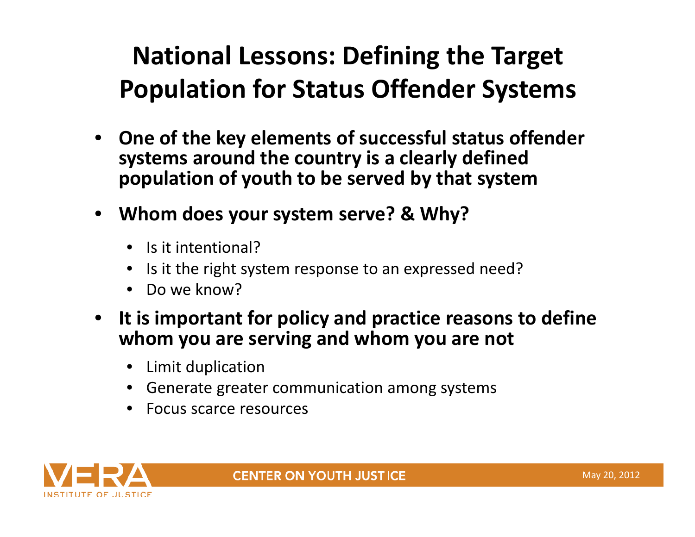## **National Lessons: Defining the Target Population for Status Offender Systems**

- **One of the key elements of successful status offender systems around the country is <sup>a</sup> clearly defined population of youth to be served by that system**
- $\bullet$  **Whom does your system serve? & Why?**
	- Is it intentional?
	- •• Is it the right system response to an expressed need?
	- Do we know?
- $\bullet$  **It is important for policy and practice reasons to define whom you are serving and whom you are not**
	- Limit duplication
	- Generate greater communication among systems
	- Focus scarce resources

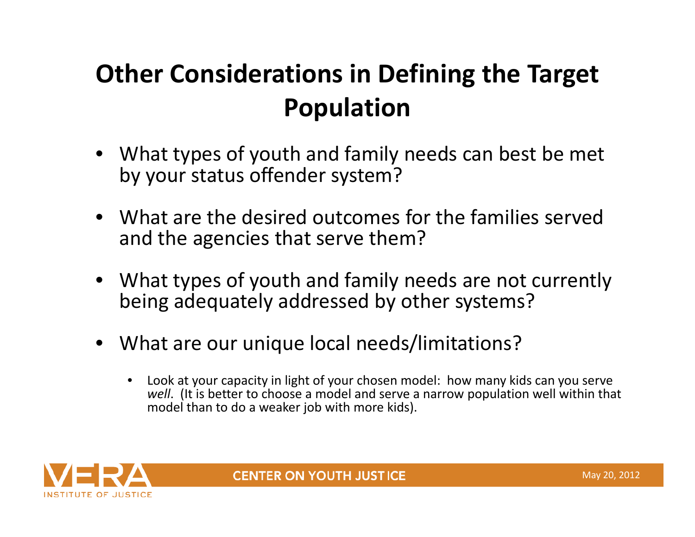## **Other Considerations in Defining the Target Population**

- What types of youth and family needs can best be met by your status offender system?
- What are the desired outcomes for the families served and the agencies that serve them?
- What types of youth and family needs are not currently being adequately addressed by other systems?
- $\bullet$  What are our unique local needs/limitations?
	- • Look at your capacity in light of your chosen model: how many kids can you serve *well*. (It is better to choose <sup>a</sup> model and serve <sup>a</sup> narrow population well within that model than to do <sup>a</sup> weaker job with more kids).



**CENTER ON YOUTH JUSTICE**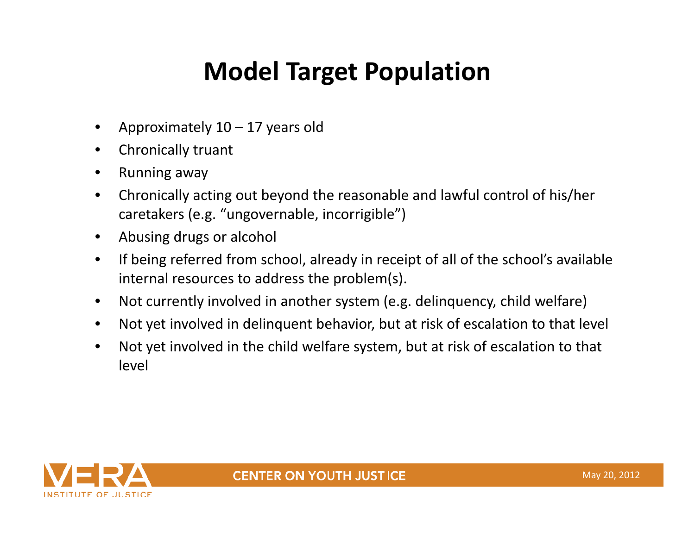## **Model Target Population**

- $\bullet$ Approximately  $10 - 17$  years old
- $\bullet$ Chronically truant
- $\bullet$ Running away
- • Chronically acting out beyond the reasonable and lawful control of his/her caretakers (e.g. "ungovernable, incorrigible")
- $\bullet$ Abusing drugs or alcohol
- $\bullet$  If being referred from school, already in receipt of all of the school's available internal resources to address the problem(s).
- $\bullet$ Not currently involved in another system (e.g. delinquency, child welfare)
- $\bullet$ Not yet involved in delinquent behavior, but at risk of escalation to that level
- • Not yet involved in the child welfare system, but at risk of escalation to that level

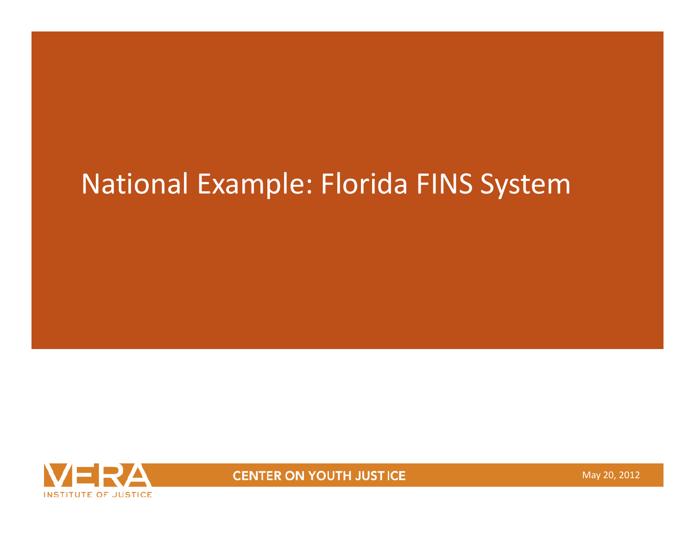# National Example: Florida FINS System



**CENTER ON YOUTH JUSTICE** 

May 20, 2012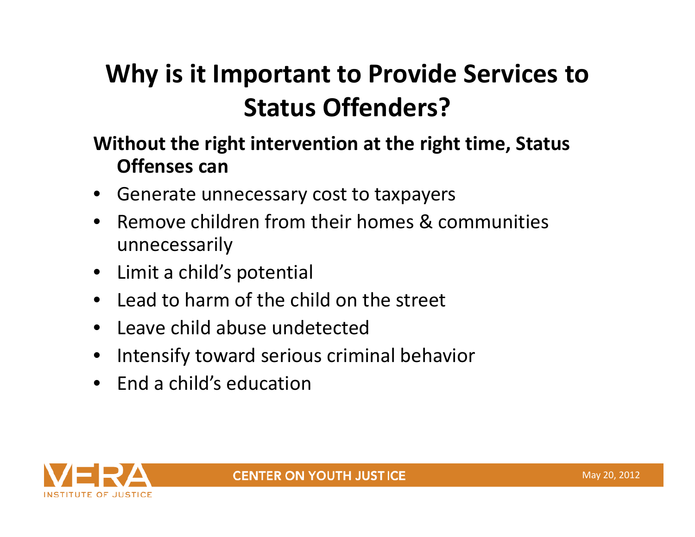## **Why is it Important to Provide Services to Status Offenders?**

#### **Without the right intervention at the right time, Status Offenses can**

- •Generate unnecessary cost to taxpayers
- • Remove children from their homes & communities unnecessarily
- •Limit a child's potential
- Lead to harm of the child on the street
- Leave child abuse undetected
- •Intensify toward serious criminal behavior
- End <sup>a</sup> child's education

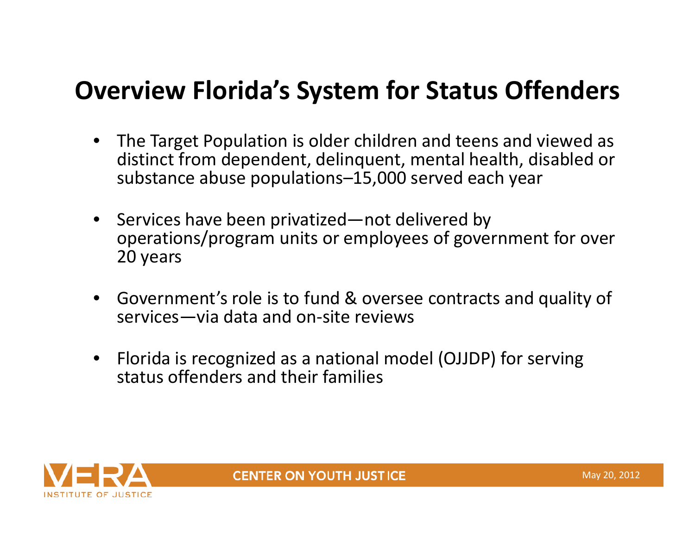### **Overview Florida's System for Status Offenders**

- • The Target Population is older children and teens and viewed as distinct from dependent, delinquent, mental health, disabled or substance abuse populations–15,000 served each year
- •• Services have been privatized—not delivered by operations/program units or employees of government for over 20 years
- • Government's role is to fund & oversee contracts and quality of services—via data and on‐site reviews
- $\bullet$  Florida is recognized as <sup>a</sup> national model (OJJDP) for serving status offenders and their families

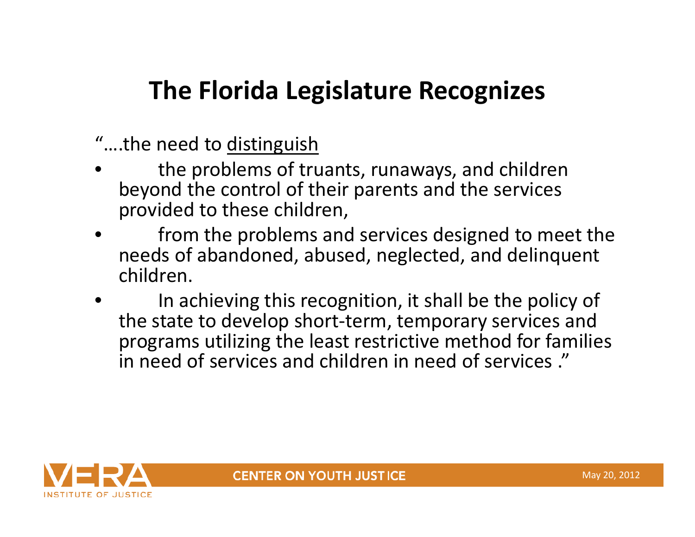### **The Florida Legislature Recognizes**

- "….the need to <u>distinguish</u>
- • the problems of truants, runaways, and children beyond the control of their parents and the services provided to these children,
- • from the problems and services designed to meet the needs of abandoned, abused, neglected, and delinquent children.
- •• In achieving this recognition, it shall be the policy of the state to develop short‐term, temporary services and programs utilizing the least restrictive method for families in need of services and children in need of services ."

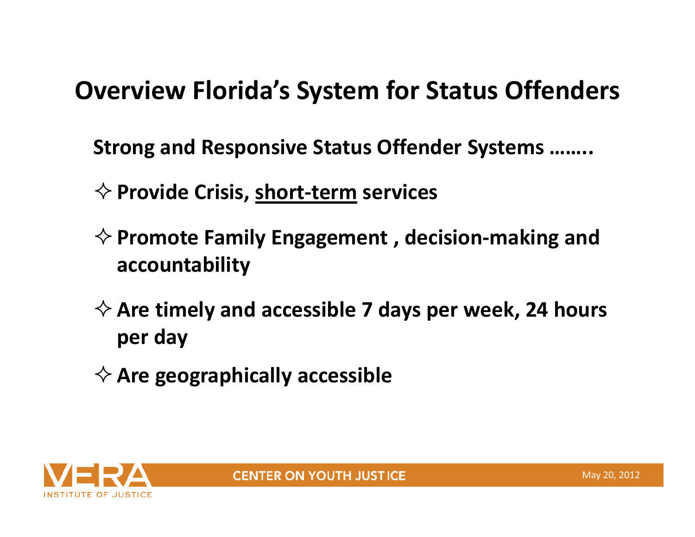### **Overview Florida's System for Status Offenders**

**Strong and Responsive Status Offender Systems ……..**

- **Provide Crisis, short‐term services**
- **Promote Family Engagement , decision‐making and accountability**
- **Are timely and accessible 7 days per week, 24 hours per day**
- **Are geographically accessible**

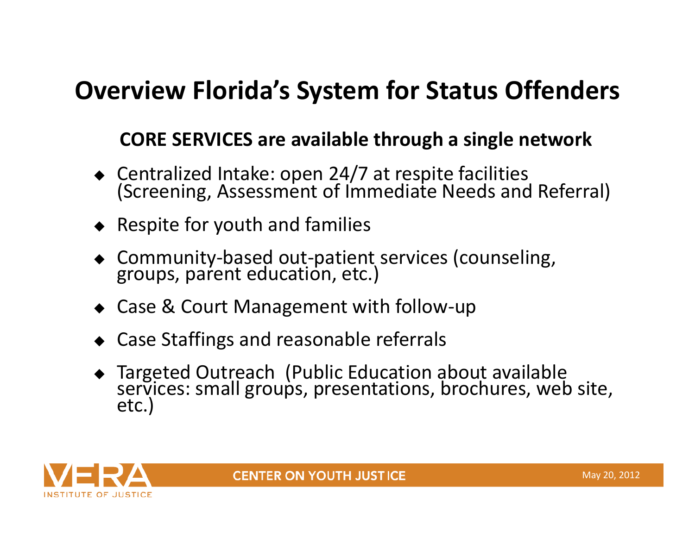### **Overview Florida's System for Status Offenders**

#### **CORE SERVICES are available through <sup>a</sup> single network**

- $\bullet$  Centralized Intake: open 24/7 at respite facilities (Screening, Assessment of Immediate Needs and Referral)
- $\bullet$  Respite for youth and families
- ◆ Community-based out-patient services (counseling, groups, parent education, etc.)
- ◆ Case & Court Management with follow-up
- Case Staffings and reasonable referrals
- Targeted Outreach (Public Education about available services:services: small groups, presentations, brochures, web site,<br>etc.)



**CENTER ON YOUTH JUSTICE**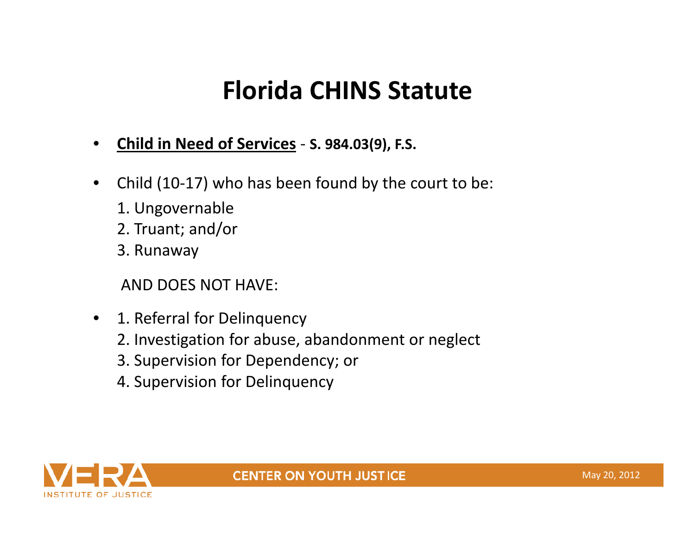### **Florida CHINS Statute**

- •**Child in Need of Services** ‐ **S. 984.03(9), F.S.**
- $\bullet$  Child (10‐17) who has been found by the court to be:
	- 1. Ungovernable
	- 2. Truant; and/or
	- 3. Runaway

AND DOES NOT HAVE:

- $\bullet$  1. Referral for Delinquency
	- 2. Investigation for abuse, abandonment or neglect
	- 3. Supervision for Dependency; or
	- 4. Supervision for Delinquency

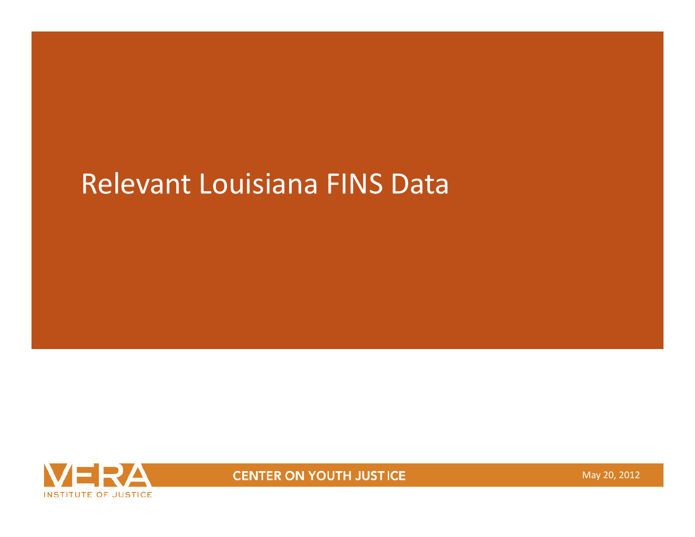## Relevant Louisiana FINS Data



**CENTER ON YOUTH JUSTICE** 

May 20, 2012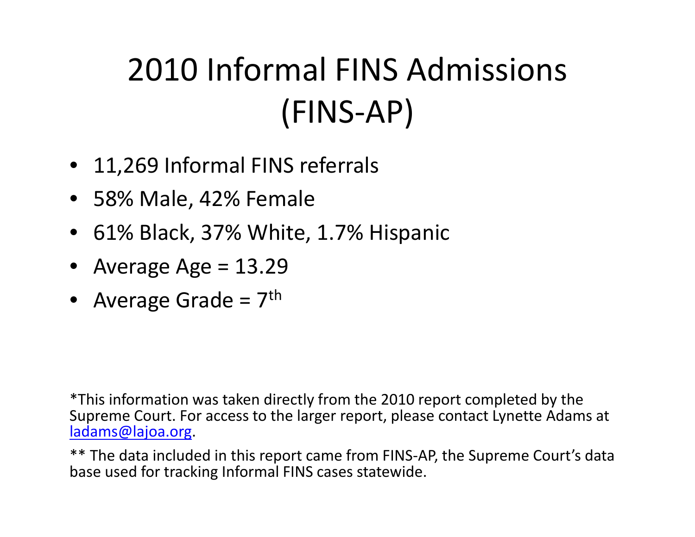# 2010 Informal FINS Admissions (FINS‐AP)

- 11,269 Informal FINS referrals
- 58% Male, 42% Female
- •61% Black, 37% White, 1.7% Hispanic
- Average Age <sup>=</sup> 13.29
- Average Grade =  $7<sup>th</sup>$

\*This information was taken directly from the 2010 report completed by the Supreme Court. For access to the larger report, please contact Lynette Adams at ladams@lajoa.org.

\*\* The data included in this report came from FINS‐AP, the Supreme Court's data base used for tracking Informal FINS cases statewide.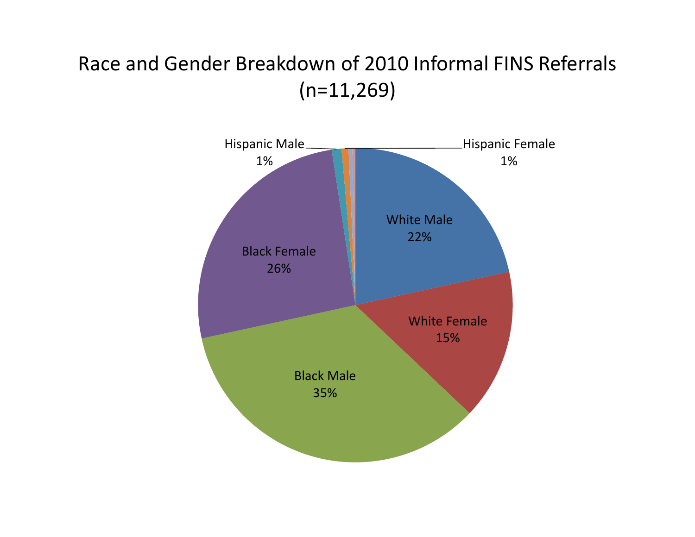### Race and Gender Breakdown of 2010 Informal FINS Referrals (n=11,269)

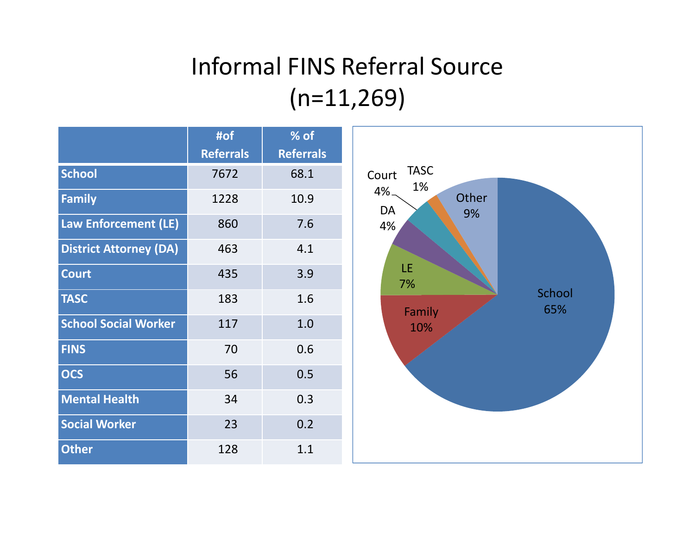### Informal FINS Referral Source  $(n=11,269)$

|                               | #of<br><b>Referrals</b> | % of<br><b>Referrals</b> |                         |
|-------------------------------|-------------------------|--------------------------|-------------------------|
| <b>School</b>                 | 7672                    | 68.1                     | <b>TASC</b><br>Court    |
| Family                        | 1228                    | 10.9                     | 1%<br>4%<br>Other<br>DA |
| Law Enforcement (LE)          | 860                     | 7.6                      | 9%<br>4%                |
| <b>District Attorney (DA)</b> | 463                     | 4.1                      |                         |
| <b>Court</b>                  | 435                     | 3.9                      | LE<br>7%                |
| <b>TASC</b>                   | 183                     | 1.6                      | School<br>65%<br>Family |
| <b>School Social Worker</b>   | 117                     | 1.0                      | 10%                     |
| <b>FINS</b>                   | 70                      | 0.6                      |                         |
| <b>OCS</b>                    | 56                      | 0.5                      |                         |
| <b>Mental Health</b>          | 34                      | 0.3                      |                         |
| <b>Social Worker</b>          | 23                      | 0.2                      |                         |
| <b>Other</b>                  | 128                     | 1.1                      |                         |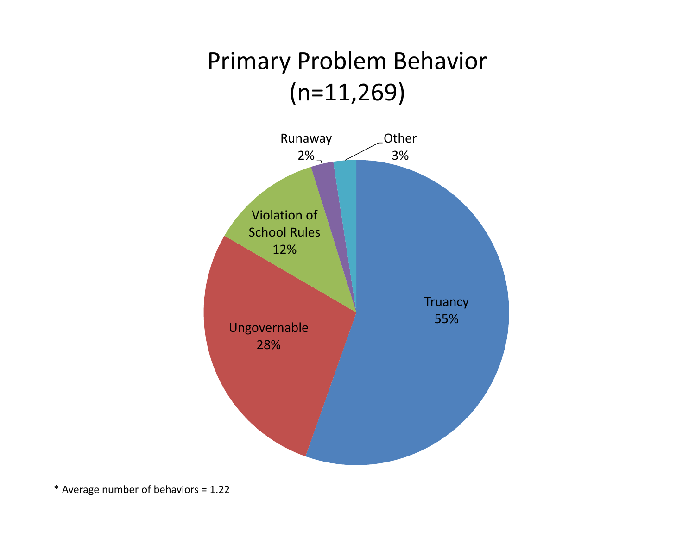### Primary Problem Behavior (n=11,269)



\* Average number of behaviors <sup>=</sup> 1.22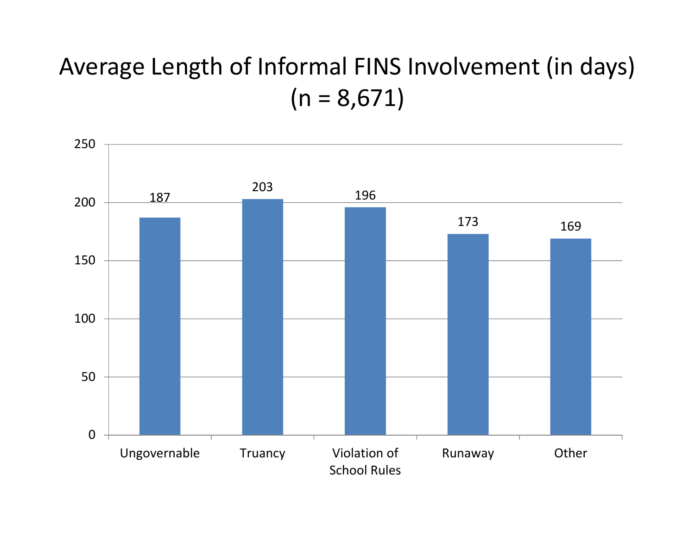### Average Length of Informal FINS Involvement (in days)  $(n = 8,671)$

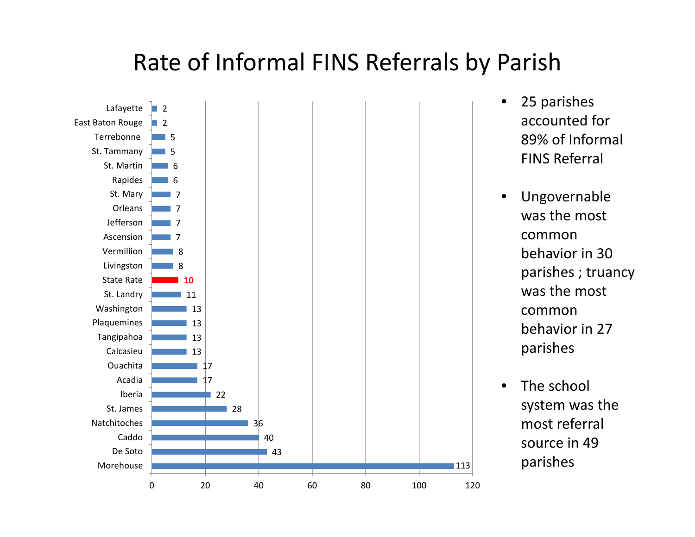### Rate of Informal FINS Referrals by Parish



- 25 parishes accounted for 89% of Informal FINS Referral
- Ungovernable was the most commonbehavior in 30 parishes ; truancy was the most commonbehavior in 27 parishes
- •• The school system was the most referral source in 49 parishes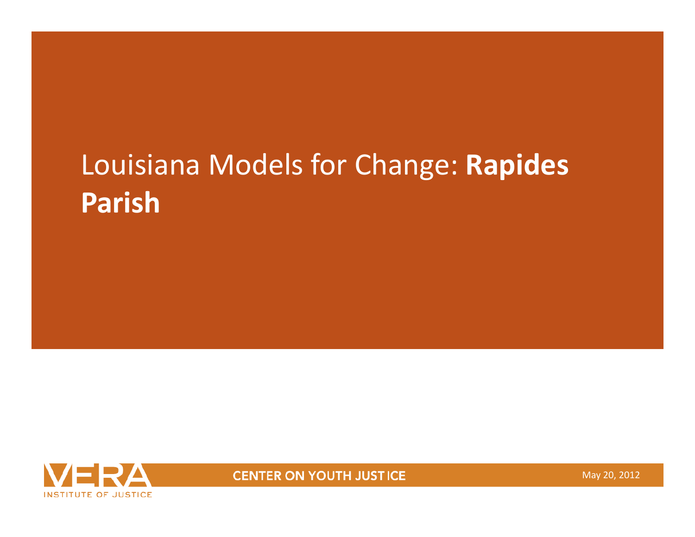# Louisiana Models for Change: **Rapides Parish**



**CENTER ON YOUTH JUSTICE** 

May 20, 2012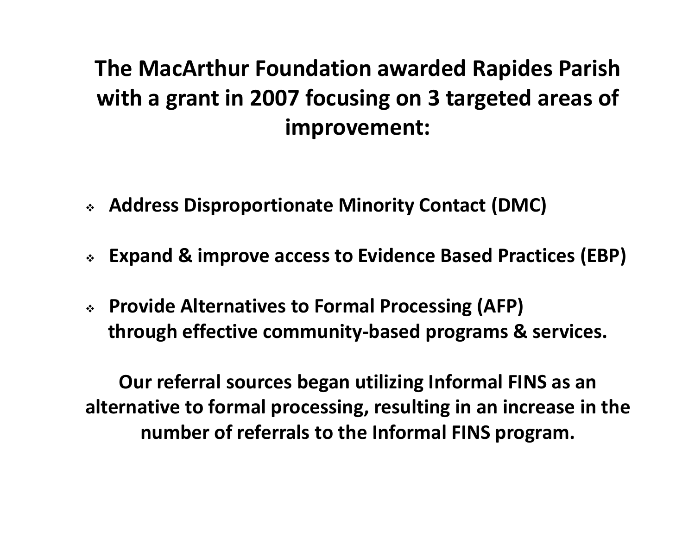### **The MacArthur Foundation awarded Rapides Parish with <sup>a</sup> grant in 2007 focusing on 3 targeted areas of improvement:**

- **Address Disproportionate Minority Contact (DMC)**
- **Expand & improve access to Evidence Based Practices (EBP)**
- **Provide Alternatives to Formal Processing (AFP) through effective community‐based programs & services.**

**Our referral sources began utilizing Informal FINS as an alternative to formal processing, resulting in an increase in the number of referrals to the Informal FINS program.**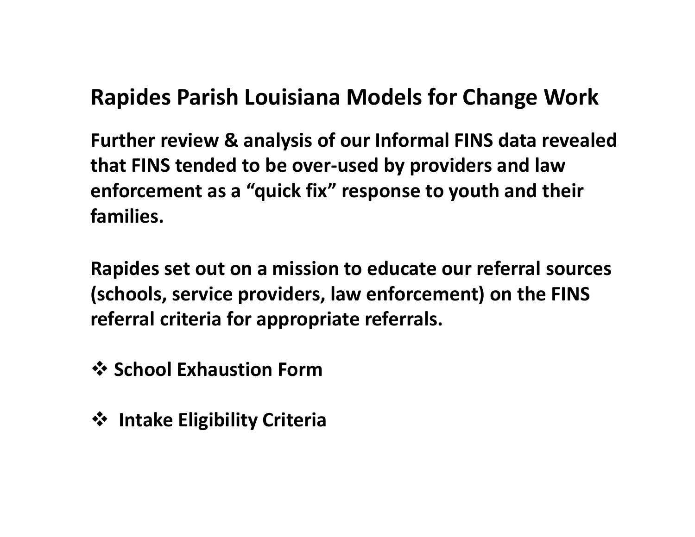### **Rapides Parish Louisiana Models for Change Work**

**Further review & analysis of our Informal FINS data revealed that FINS tended to be over‐used by providers and law enforcement as a "quick fix" response to youth and their families.**

**Rapides set out on <sup>a</sup> mission to educate our referral sources (schools, service providers, law enforcement) on the FINS referral criteria for appropriate referrals.**

 $\dots$  **School Exhaustion Form** 

**Intake Eligibility Criteria**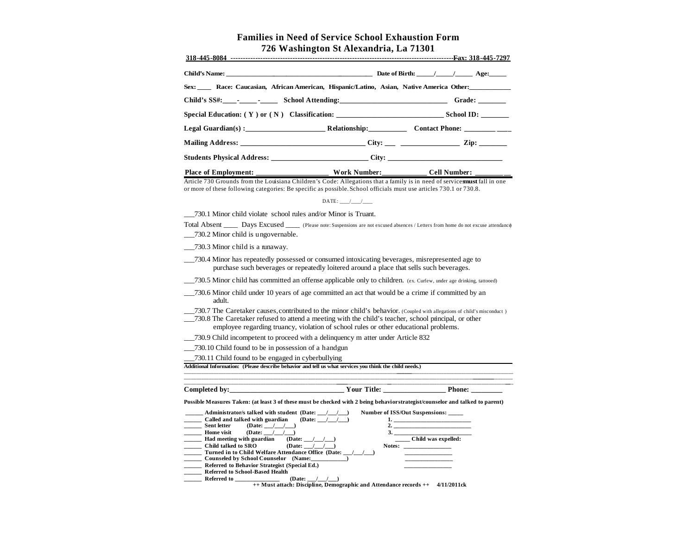#### **Families in Need of Service School Exhaustion Form 726 Washington St Alexandria, La 71301**

| Sex: Race: Caucasian, African American, Hispanic/Latino, Asian, Native America Other: |  |  |
|---------------------------------------------------------------------------------------|--|--|
|                                                                                       |  |  |
|                                                                                       |  |  |
|                                                                                       |  |  |
|                                                                                       |  |  |
|                                                                                       |  |  |
|                                                                                       |  |  |

Article 730 Grounds from the Louisiana Children's Code: Allegations that a family is in need of services must fall in one or more of these following categories: Be specific as possible. School officials must use articles 730.1 or 730.8.

| $\mathsf{DATE}$ : |
|-------------------|
|-------------------|

\_\_\_730.1 Minor child violate school rules and/or Minor is Truant.

Total Absent \_\_\_\_\_ Days Excused \_\_\_\_\_ (Please note: Suspensions are not excused absences / Letters from home do not excuse attendance) \_\_\_730.2 Minor child is ungovernable.

\_\_\_730.3 Minor child is a runaway.

- \_\_\_730.4 Minor has repeatedly possessed or consumed intoxicating beverages, misrepresented age to purchase such beverages or repeatedly loitered around a place that sells such beverages.
- \_\_\_730.5 Minor child has committed an offense applicable only to children. (ex. Curfew, under age drinking, tattooed)
- \_\_\_730.6 Minor child under 10 years of age committed an act that would be a crime if committed by an adult.
- \_\_\_730.7 The Caretaker causes, contributed to the minor child's behavior. (Coupled with allegations of child's misconduct )
- \_\_\_730.8 The Caretaker refused to attend a meeting with the child's teacher, school principal, or other employee regarding truancy, violation of school rules or other educational problems.
- \_\_\_730.9 Child incompetent to proceed with a delinquency m atter under Article 832
- \_\_\_730.10 Child found to be in possession of a handgun

\_\_\_730.11 Child found to be engaged in cyberbullying

**Additional Information: (Please describe behavior and tell us what services you think the child needs.)**

**\_\_\_\_\_\_\_\_\_\_\_\_\_\_\_\_\_\_\_\_\_\_\_\_\_\_\_\_\_\_\_\_\_\_\_\_\_\_\_\_\_\_\_\_\_\_\_\_\_\_\_\_\_\_\_\_\_\_\_\_\_\_\_\_\_\_ \_\_\_\_\_\_\_\_\_\_\_\_\_\_\_\_\_\_\_\_\_\_\_\_\_\_\_\_\_\_\_\_\_\_\_\_\_\_\_\_\_\_\_\_\_\_\_\_\_\_\_\_\_\_\_\_\_\_\_\_\_\_\_\_\_\_\_\_\_\_\_\_ \_\_ \_ Completed by:\_\_\_\_\_\_\_\_\_\_\_\_\_\_\_\_\_\_\_\_\_\_\_\_\_\_\_\_\_\_\_\_\_ Your Title: \_\_\_\_\_\_\_\_\_\_\_\_\_\_\_\_\_\_ Phone: \_\_\_\_\_\_\_\_\_** Possible Measures Taken: (at least 3 of these must be checked with 2 being behavior strategist/counselor and talked to parent) Administrator/s talked with student (Date:  $/$  /  $/$  ) Number of ISS/Out Suspensions: Called and talked with guardian (Date:  $\frac{1}{\sqrt{2}}$  (Date:  $\frac{1}{\sqrt{2}}$  )  $(Date:$   $\frac{1}{2}$   $\frac{1}{2}$ **Home visit** (Date:  $/$  /  $/$  ) 3. **\_\_\_\_\_\_ Had meeting with guardian (Date: \_\_\_/\_\_\_/\_\_\_) \_\_\_\_\_ Child was expelled:**  Child talked to SRO (Date: <u>\_\_/\_\_/\_\_)</u> Notes: Turned in to Child Welfare Attendance Office (Date:  $\bf{C}$ ounseled by School Counselor (Name: **\_\_\_\_\_\_ Referred to Behavior Strategist (Special Ed.) \_\_\_\_\_\_\_\_\_\_\_\_\_\_\_\_ \_\_\_\_\_\_ Referred to School-Based Health** 

**\_\_\_\_\_\_ Referred to \_\_\_\_\_\_\_\_\_\_\_\_\_\_\_ (Date: \_\_\_/\_\_\_/\_\_\_) ++ Must attach: Discipline, Demographic and Attendance records ++ 4/11/2011ck**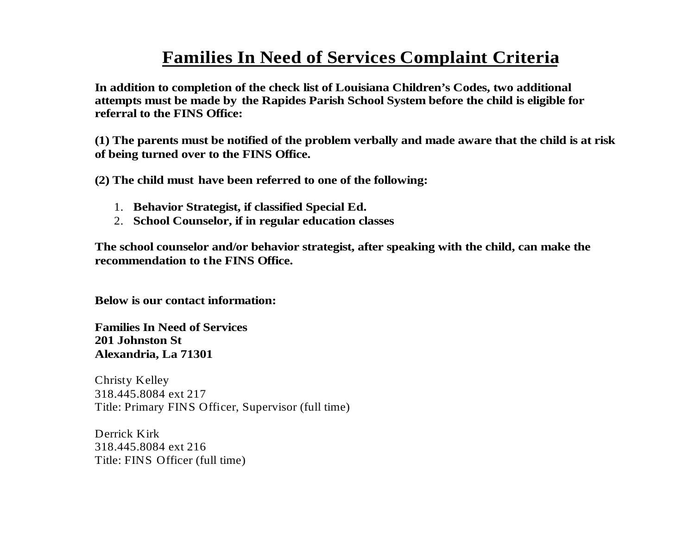#### **Families In Need of Services Complaint Criteria**

**In addition to completion of the check list of Louisiana Children's Codes, two additional attempts must be made by the Rapides Parish School System before the child is eligible for referral to the FINS Office:** 

**(1) The parents must be notified of the problem verbally and made aware that the child is at risk of being turned over to the FINS Office.** 

**(2) The child must have been referred to one of the following:**

- 1. **Behavior Strategist, if classified Special Ed.**
- 2. **School Counselor, if in regular education classes**

**The school counselor and/or behavior strategist, after speaking with the child, can make the recommendation to the FINS Office.** 

**Below is our contact information:**

**Families In Need of Services201 Johnston StAlexandria, La 71301**

Christy Kelley 318.445.8084 ext 217 Title: Primary FINS Officer, Supervisor (full time)

Derrick Kirk 318.445.8084 ext 216 Title: FINS Officer (full time)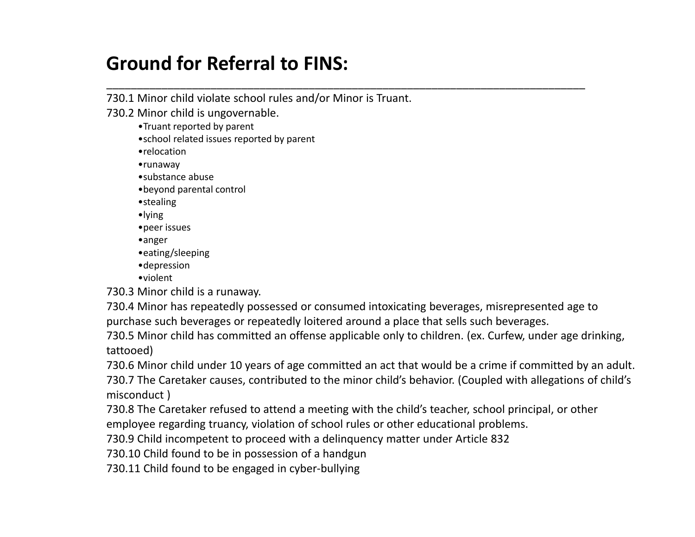#### **Ground for Referral to FINS:**

730.1 Minor child violate school rules and/or Minor is Truant.

730.2 Minor child is ungovernable.

- •Truant reported by parent
- •school related issues reported by parent
- •relocation
- •runaway
- •substance abuse
- •beyond parental control
- •stealing
- •lying
- •peer issues
- •anger
- •eating/sleeping
- •depression
- •violent

730.3 Minor child is <sup>a</sup> runaway.

730.4 Minor has repeatedly possessed or consumed intoxicating beverages, misrepresented age to purchase such beverages or repeatedly loitered around <sup>a</sup> place that sells such beverages.

\_\_\_\_\_\_\_\_\_\_\_\_\_\_\_\_\_\_\_\_\_\_\_\_\_\_\_\_\_\_\_\_\_\_\_\_\_\_\_\_\_\_\_\_\_\_\_\_\_\_\_\_\_\_\_\_\_\_\_\_\_\_\_\_\_\_\_\_\_\_\_\_\_\_\_\_\_\_

730.5 Minor child has committed an offense applicable only to children. (ex. Curfew, under age drinking, tattooed)

730.6 Minor child under 10 years of age committed an act that would be <sup>a</sup> crime if committed by an adult. 730.7 The Caretaker causes, contributed to the minor child's behavior. (Coupled with allegations of child's misconduct )

730.8 The Caretaker refused to attend <sup>a</sup> meeting with the child's teacher, school principal, or other employee regarding truancy, violation of school rules or other educational problems.

730.9 Child incompetent to proceed with <sup>a</sup> delinquency matter under Article 832

730.10 Child found to be in possession of <sup>a</sup> handgun

730.11 Child found to be engaged in cyber‐bullying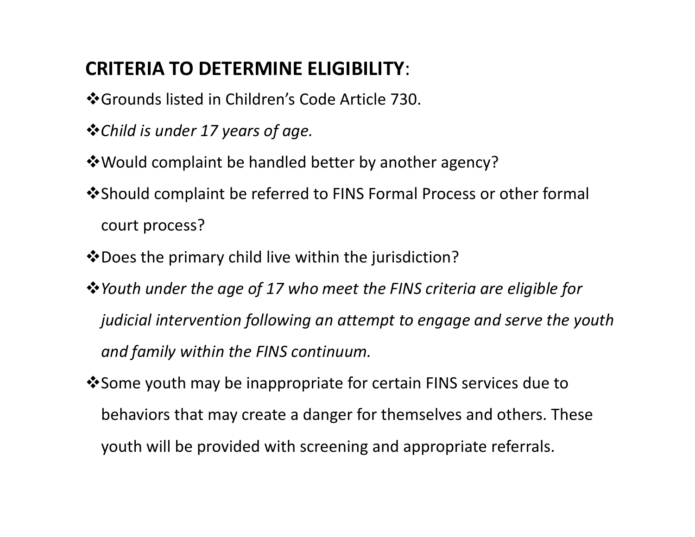#### **CRITERIA TO DETERMINE ELIGIBILITY**:

- Grounds listed in Children's Code Article 730.
- *Child is under 17 years of age.*
- Would complaint be handled better by another agency?
- Should complaint be referred to FINS Formal Process or other formal court process?
- $\clubsuit$  Does the primary child live within the jurisdiction?
- *Youth under the age of 17 who meet the FINS criteria are eligible for judicial intervention following an attempt to engage and serve the youth and family within the FINS continuum.*
- Some youth may be inappropriate for certain FINS services due to behaviors that may create <sup>a</sup> danger for themselves and others. These youth will be provided with screening and appropriate referrals.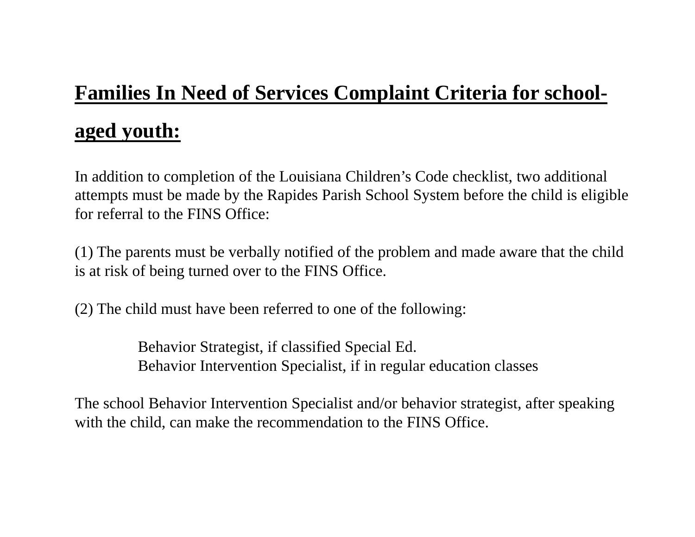## **Families In Need of Services Complaint Criteria for schoolaged youth:**

In addition to completion of the Louisiana Children's Code checklist, two additional attempts must be made by the Rapides Parish School System before the child is eligible for referral to the FINS Office:

(1) The parents must be verbally notified of the problem and made aware that the child is at risk of being turned over to the FINS Office.

(2) The child must have been referred to one of the following:

Behavior Strategist, if classified Special Ed. Behavior Intervention Specialist, if in regular education classes

The school Behavior Intervention Specialist and/or behavior strategist, after speaking with the child, can make the recommendation to the FINS Office.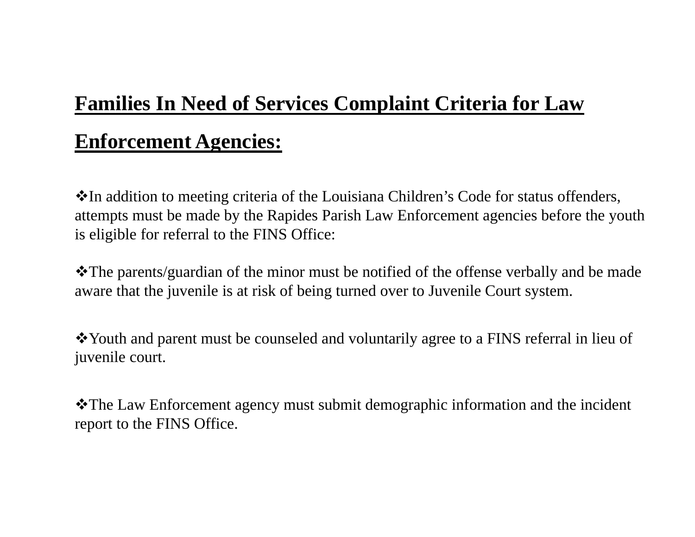### **Families In Need of Services Complaint Criteria for Law**

### **Enforcement Agencies:**

In addition to meeting criteria of the Louisiana Children's Code for status offenders, attempts must be made by the Rapides Parish Law Enforcement agencies before the youth is eligible for referral to the FINS Office:

The parents/guardian of the minor must be notified of the offense verbally and be made aware that the juvenile is at risk of being turned over to Juvenile Court system.

Youth and parent must be counseled and voluntarily agree to a FINS referral in lieu of juvenile court.

The Law Enforcement agency must submit demographic information and the incident report to the FINS Office.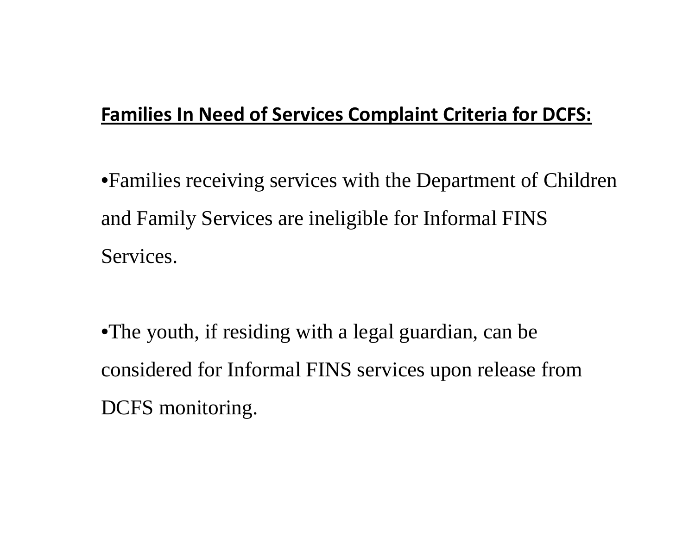#### **Families In Need of Services Complaint Criteria for DCFS:**

•Families receiving services with the Department of Children and Family Services are ineligible for Informal FINS Services.

•The youth, if residing with a legal guardian, can be considered for Informal FINS services upon release from DCFS monitoring.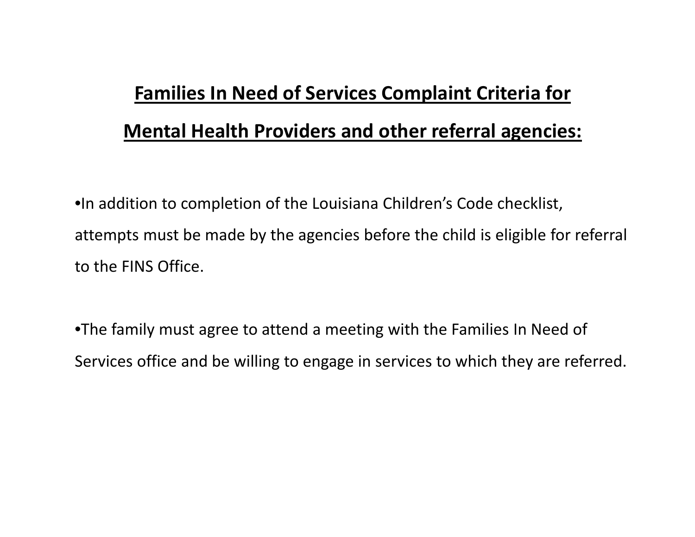### **Families In Need of Services Complaint Criteria for Mental Health Providers and other referral agencies:**

•In addition to completion of the Louisiana Children's Code checklist, attempts must be made by the agencies before the child is eligible for referral to the FINS Office.

•The family must agree to attend <sup>a</sup> meeting with the Families In Need of Services office and be willing to engage in services to which they are referred.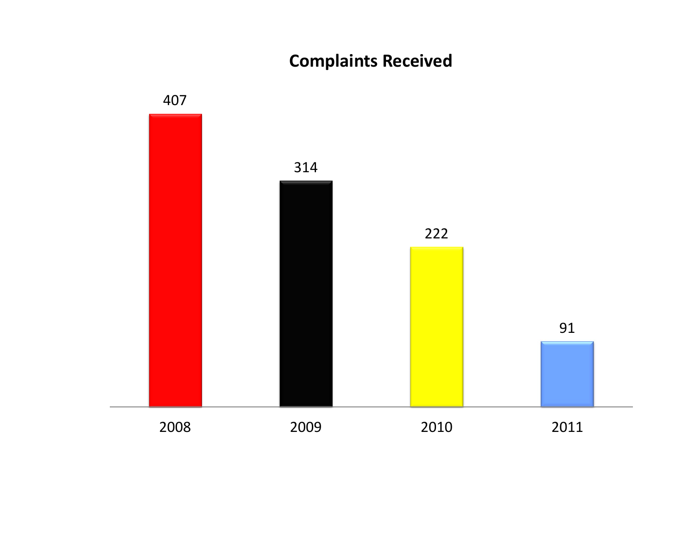#### **Complaints Received**

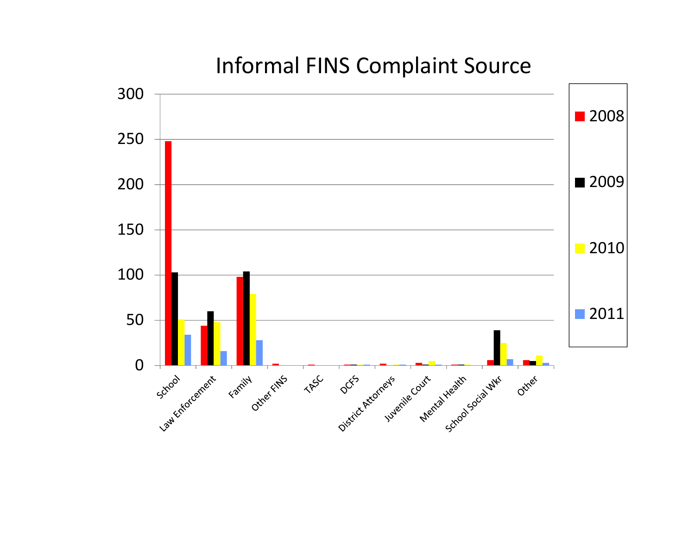### Informal FINS Complaint Source

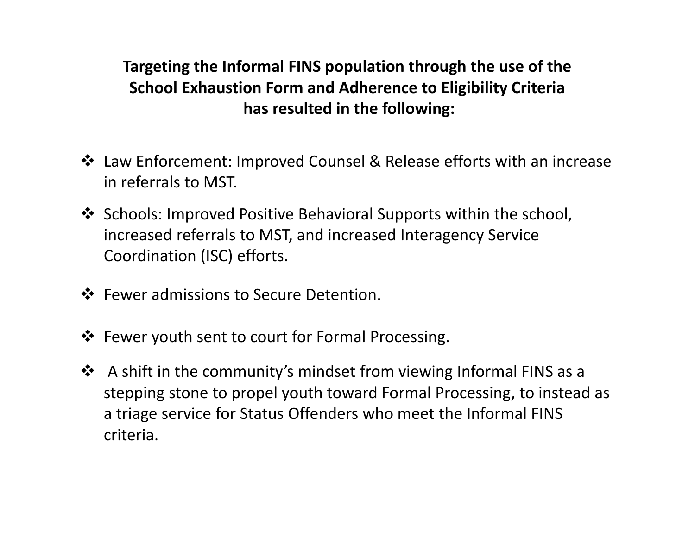**Targeting the Informal FINS population through the use of the School Exhaustion Form and Adherence to Eligibility Criteria has resulted in the following:**

- Law Enforcement: Improved Counsel & Release efforts with an increase in referrals to MST.
- Schools: Improved Positive Behavioral Supports within the school, increased referrals to MST, and increased Interagency Service Coordination (ISC) efforts.
- ❖ Fewer admissions to Secure Detention.
- Fewer youth sent to court for Formal Processing.
- A shift in the community's mindset from viewing Informal FINS as <sup>a</sup> stepping stone to propel youth toward Formal Processing, to instead as a triage service for Status Offenders who meet the Informal FINS criteria.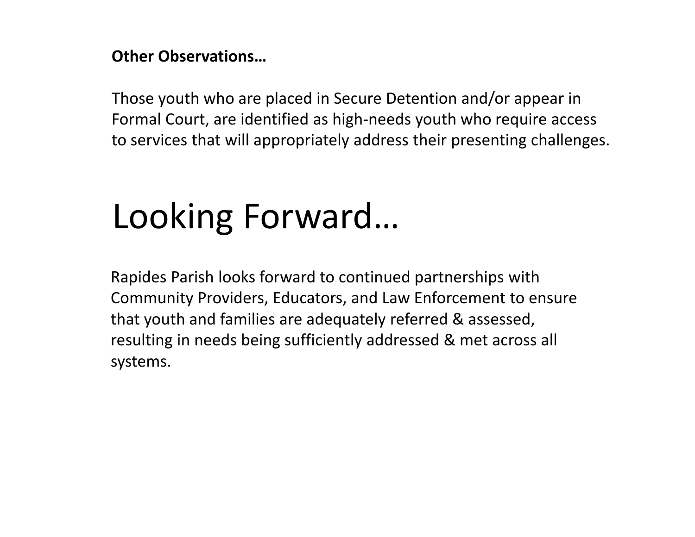#### **Other Observations…**

Those youth who are placed in Secure Detention and/or appear in Formal Court, are identified as high‐needs youth who require access to services that will appropriately address their presenting challenges.

# Looking Forward…

Rapides Parish looks forward to continued partnerships with Community Providers, Educators, and Law Enforcement to ensure that youth and families are adequately referred & assessed, resulting in needs being sufficiently addressed & met across all systems.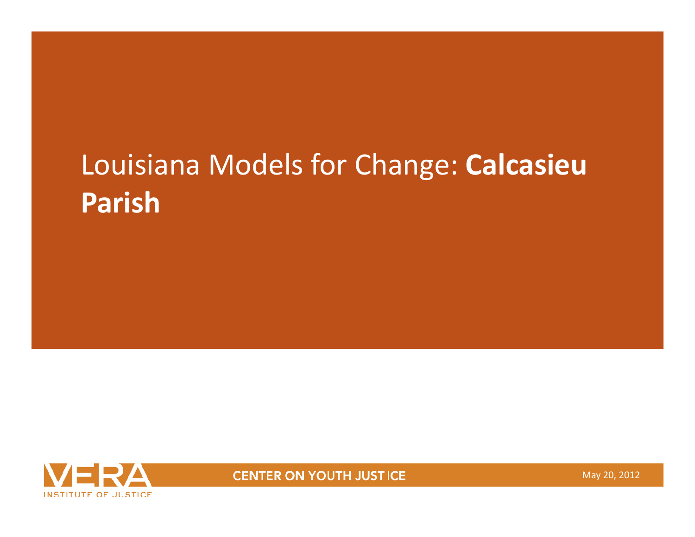# Louisiana Models for Change: **Calcasieu Parish**



**CENTER ON YOUTH JUSTICE** 

May 20, 2012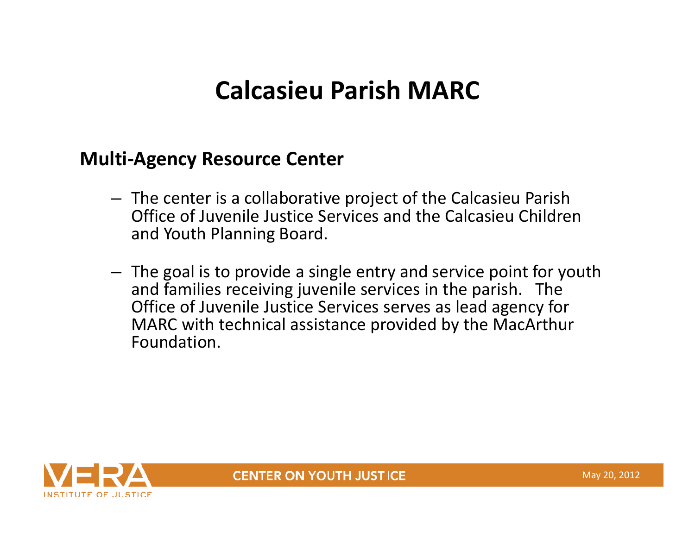### **Calcasieu Parish MARC**

#### **Multi‐Agency Resource Center**

- The center is <sup>a</sup> collaborative project of the Calcasieu Parish Office of Juvenile Justice Services and the Calcasieu Children and Youth Planning Board.
- The goal is to provide <sup>a</sup> single entry and service point for youth and families receiving juvenile services in the parish. The Office of Juvenile Justice Services serves as lead agency for MARC with technical assistance provided by the MacArthur Foundation.



**CENTER ON YOUTH JUSTICE**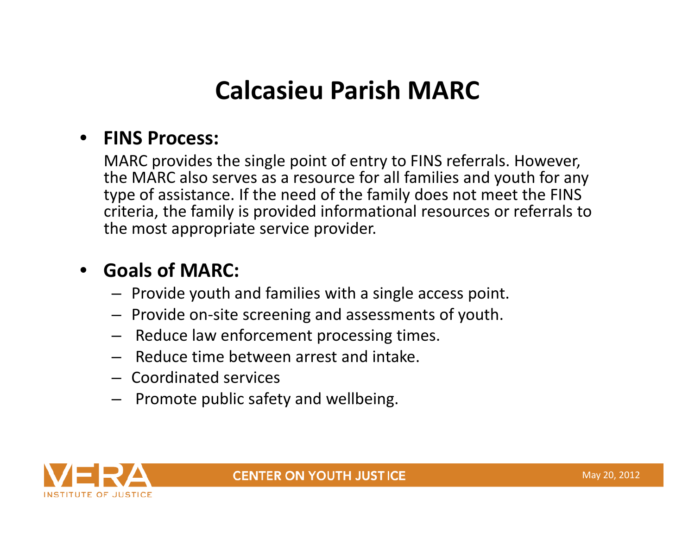### **Calcasieu Parish MARC**

#### •**FINS Process:**

MARC provides the single point of entry to FINS referrals. However, the MARC also serves as <sup>a</sup> resource for all families and youth for any type of assistance. If the need of the family does not meet the FINS criteria, the family is provided informational resources or referrals to the most appropriate service provider.

### • **Goals of MARC:**

- Provide youth and families with <sup>a</sup> single access point.
- Provide on‐site screening and assessments of youth.
- Reduce law enforcement processing times.
- Reduce time between arrest and intake.
- Coordinated services
- Promote public safety and wellbeing.

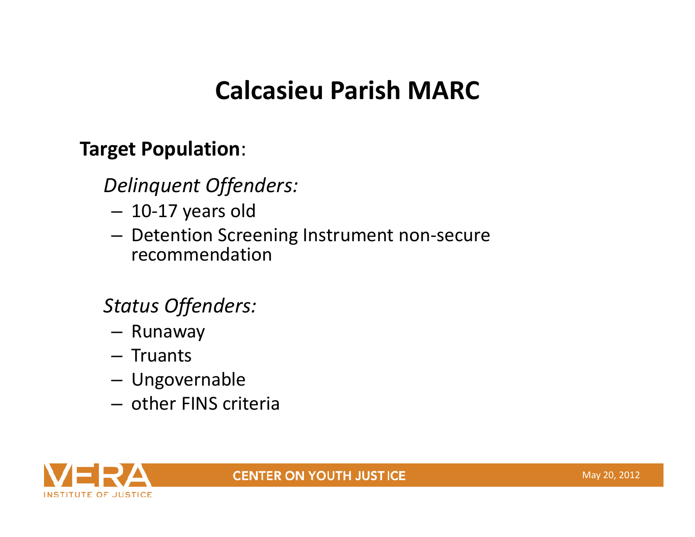### **Calcasieu Parish MARC**

#### **Target Population**:

### *Delinquent Offenders:*

- –10‐17 years old
- Detention Screening Instrument non‐secure recommendation

### *Status Offenders:*

- Runaway
- Truants
- –Ungovernable
- other FINS criteria



#### **CENTER ON YOUTH JUSTICE**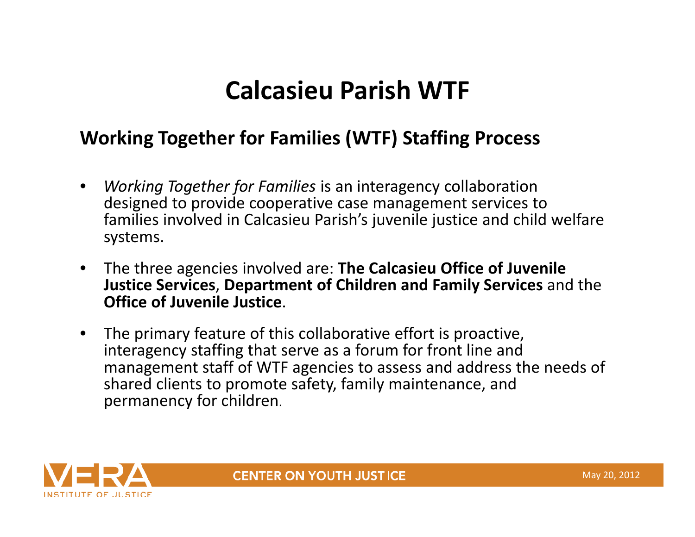### **Calcasieu Parish WTF**

### **Working Together for Families (WTF) Staffing Process**

- • *Working Together for Families* is an interagency collaboration designed to provide cooperative case management services to families involved in Calcasieu Parish's juvenile justice and child welfare systems.
- $\bullet$  The three agencies involved are: **The Calcasieu Office of Juvenile Justice Services**, **Department of Children and Family Services** and the **Office of Juvenile Justice**.
- • The primary feature of this collaborative effort is proactive, interagency staffing that serve as <sup>a</sup> forum for front line and management staff of WTF agencies to assess and address the needs of shared clients to promote safety, family maintenance, and permanency for children.



**CENTER ON YOUTH JUSTICE**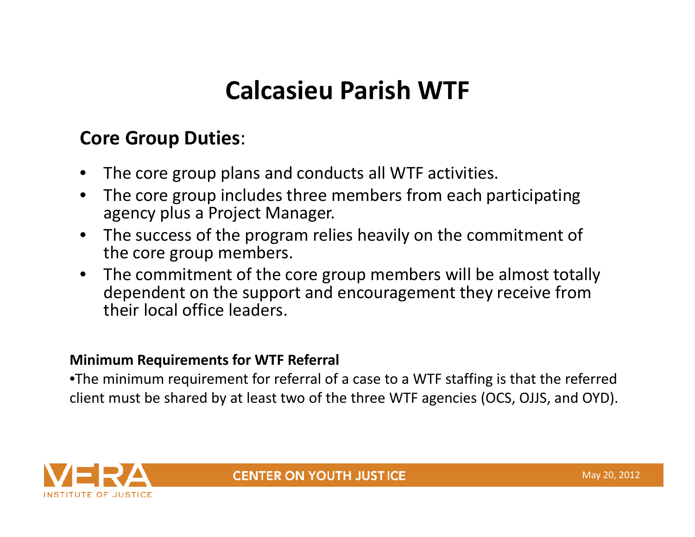### **Calcasieu Parish WTF**

#### **Core Group Duties**:

- •The core group plans and conducts all WTF activities.
- • The core group includes three members from each participating agency plus <sup>a</sup> Project Manager.
- • The success of the program relies heavily on the commitment of the core group members.
- The commitment of the core group members will be almost totally dependent on the support and encouragement they receive from their local office leaders.

#### **Minimum Requirements for WTF Referral**

•The minimum requirement for referral of <sup>a</sup> case to <sup>a</sup> WTF staffing is that the referred client must be shared by at least two of the three WTF agencies (OCS, OJJS, and OYD).

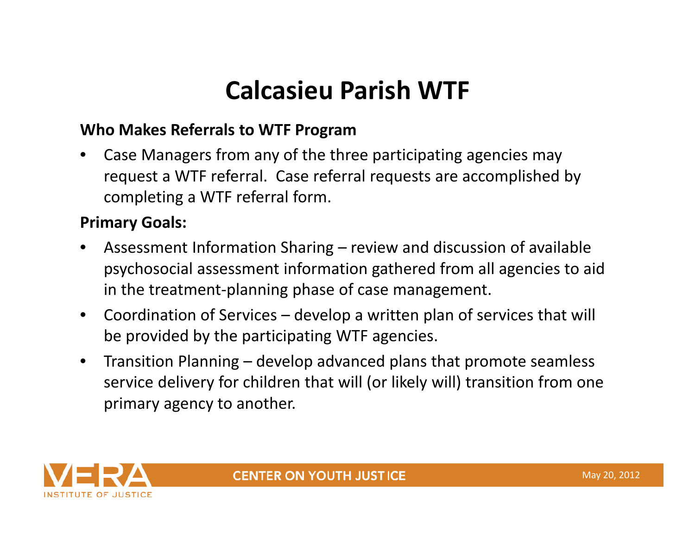### **Calcasieu Parish WTF**

#### **Who Makes Referrals to WTF Program**

• Case Managers from any of the three participating agencies may request <sup>a</sup> WTF referral. Case referral requests are accomplished by completing <sup>a</sup> WTF referral form.

#### **Primary Goals:**

- • Assessment Information Sharing – review and discussion of available psychosocial assessment information gathered from all agencies to aid in the treatment‐planning phase of case management.
- Coordination of Services develop <sup>a</sup> written plan of services that will be provided by the participating WTF agencies.
- $\bullet$  Transition Planning – develop advanced plans that promote seamless service delivery for children that will (or likely will) transition from one primary agency to another.

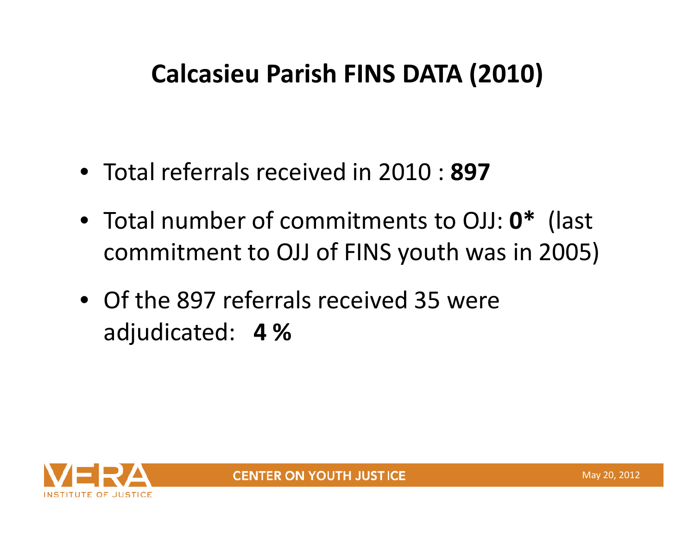- Total referrals received in 2010 : **897**
- Total number of commitments to OJJ: **0\*** (last commitment to OJJ of FINS youth was in 2005)
- Of the 897 referrals received 35 were adjudicated: **4 %**

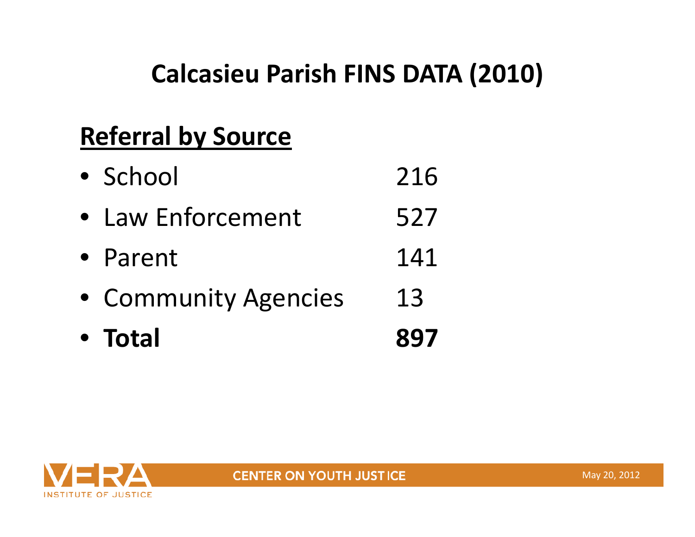### **Referral by Source**

| • Total              | 897 |
|----------------------|-----|
| • Community Agencies | 13  |
| • Parent             | 141 |
| • Law Enforcement    | 527 |
| • School             | 216 |

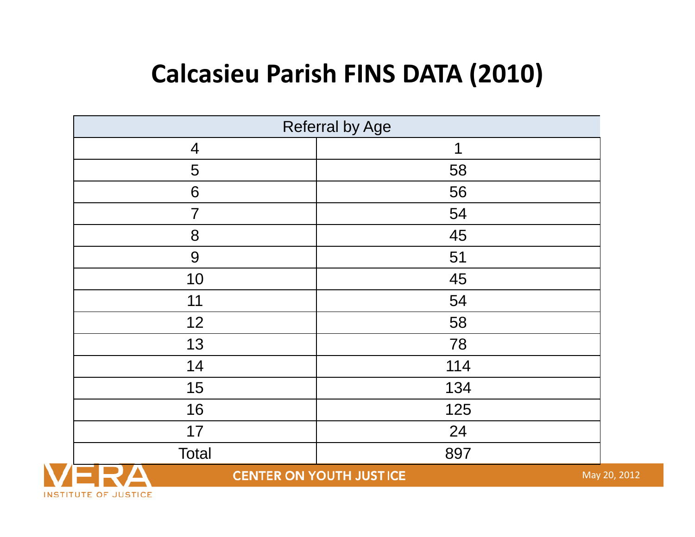| <b>Referral by Age</b> |                                |              |  |
|------------------------|--------------------------------|--------------|--|
| $\overline{4}$         | $\mathbf 1$                    |              |  |
| 5                      | 58                             |              |  |
| 6                      | 56                             |              |  |
| $\overline{7}$         | 54                             |              |  |
| 8                      | 45                             |              |  |
| 9                      | 51                             |              |  |
| 10                     | 45                             |              |  |
| 11                     | 54                             |              |  |
| 12                     | 58                             |              |  |
| 13                     | 78                             |              |  |
| 14                     | 114                            |              |  |
| 15                     | 134                            |              |  |
| 16                     | 125                            |              |  |
| 17                     | 24                             |              |  |
| Total                  | 897                            |              |  |
|                        | <b>CENTER ON YOUTH JUSTICE</b> | May 20, 2012 |  |

INSTITUTE OF JUSTICE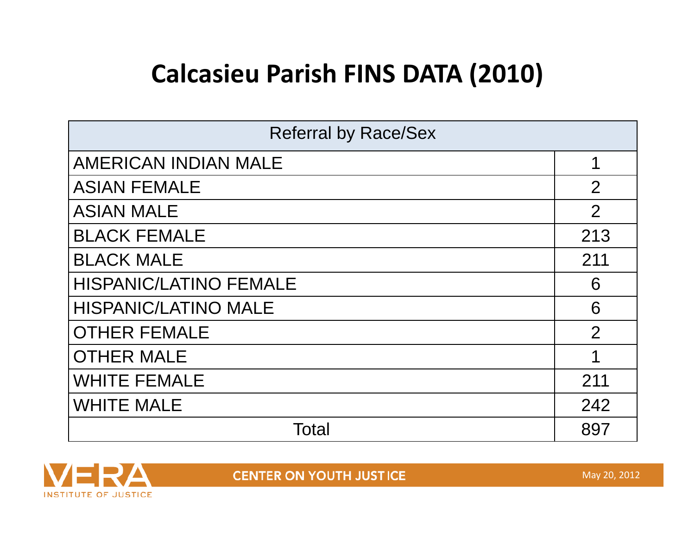| <b>Referral by Race/Sex</b>   |  |  |
|-------------------------------|--|--|
| <b>AMERICAN INDIAN MALE</b>   |  |  |
| <b>ASIAN FEMALE</b>           |  |  |
| <b>ASIAN MALE</b>             |  |  |
| <b>BLACK FEMALE</b>           |  |  |
| <b>BLACK MALE</b>             |  |  |
| <b>HISPANIC/LATINO FEMALE</b> |  |  |
| <b>HISPANIC/LATINO MALE</b>   |  |  |
| <b>OTHER FEMALE</b>           |  |  |
| <b>OTHER MALE</b>             |  |  |
| <b>WHITE FEMALE</b>           |  |  |
| <b>WHITE MALE</b>             |  |  |
| Total                         |  |  |